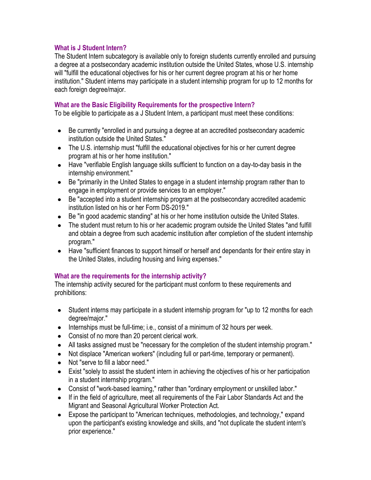### **What is J Student Intern?**

The Student Intern subcategory is available only to foreign students currently enrolled and pursuing a degree at a postsecondary academic institution outside the United States, whose U.S. internship will "fulfill the educational objectives for his or her current degree program at his or her home institution." Student interns may participate in a student internship program for up to 12 months for each foreign degree/major.

### **What are the Basic Eligibility Requirements for the prospective Intern?**

To be eligible to participate as a J Student Intern, a participant must meet these conditions:

- Be currently "enrolled in and pursuing a degree at an accredited postsecondary academic  $\bullet$ institution outside the United States."
- The U.S. internship must "fulfill the educational objectives for his or her current degree program at his or her home institution."
- Have "verifiable English language skills sufficient to function on a day-to-day basis in the internship environment."
- Be "primarily in the United States to engage in a student internship program rather than to  $\bullet$ engage in employment or provide services to an employer."
- Be "accepted into a student internship program at the postsecondary accredited academic  $\bullet$ institution listed on his or her Form DS-2019."
- Be "in good academic standing" at his or her home institution outside the United States.
- The student must return to his or her academic program outside the United States "and fulfill and obtain a degree from such academic institution after completion of the student internship program."
- Have "sufficient finances to support himself or herself and dependants for their entire stay in the United States, including housing and living expenses."

### **What are the requirements for the internship activity?**

The internship activity secured for the participant must conform to these requirements and prohibitions:

- Student interns may participate in a student internship program for "up to 12 months for each  $\bullet$ degree/major."
- Internships must be full-time; i.e., consist of a minimum of 32 hours per week.  $\bullet$
- $\bullet$ Consist of no more than 20 percent clerical work.
- All tasks assigned must be "necessary for the completion of the student internship program."  $\bullet$
- Not displace "American workers" (including full or part-time, temporary or permanent).  $\bullet$
- Not "serve to fill a labor need."  $\bullet$
- Exist "solely to assist the student intern in achieving the objectives of his or her participation  $\bullet$ in a student internship program."
- Consist of "work-based learning," rather than "ordinary employment or unskilled labor."
- If in the field of agriculture, meet all requirements of the Fair Labor Standards Act and the  $\bullet$ Migrant and Seasonal Agricultural Worker Protection Act.
- Expose the participant to "American techniques, methodologies, and technology," expand  $\bullet$ upon the participant's existing knowledge and skills, and "not duplicate the student intern's prior experience."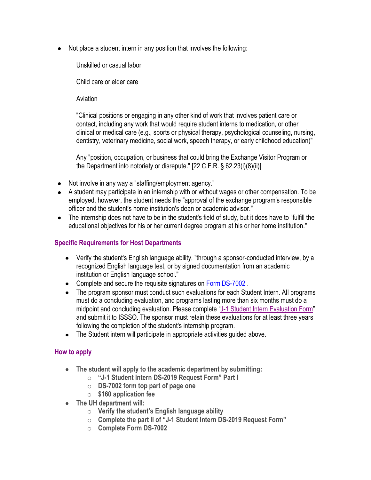Not place a student intern in any position that involves the following:

Unskilled or casual labor

Child care or elder care

Aviation

"Clinical positions or engaging in any other kind of work that involves patient care or contact, including any work that would require student interns to medication, or other clinical or medical care (e.g., sports or physical therapy, psychological counseling, nursing, dentistry, veterinary medicine, social work, speech therapy, or early childhood education)"

Any "position, occupation, or business that could bring the Exchange Visitor Program or the Department into notoriety or disrepute." [22 C.F.R. § 62.23(i)(8)(ii)]

- Not involve in any way a "staffing/employment agency."
- A student may participate in an internship with or without wages or other compensation. To be employed, however, the student needs the "approval of the exchange program's responsible officer and the student's home institution's dean or academic advisor."
- The internship does not have to be in the student's field of study, but it does have to "fulfill the educational objectives for his or her current degree program at his or her home institution."

# **Specific Requirements for Host Departments**

- Verify the student's English language ability, "through a sponsor-conducted interview, by a recognized English language test, or by signed documentation from an academic institution or English language school."
- Complete and secure the requisite signatures on [Form DS-7002 .](https://eforms.state.gov/Forms/ds7002.pdf)
- The program sponsor must conduct such evaluations for each Student Intern. All programs must do a concluding evaluation, and programs lasting more than six months must do a midpoint and concluding evaluation. Please complete "[J-1 Student Intern Evaluation Form](http://uh.edu/oisss/resources/files/J_Student-InternEvalform_UH.pdf)" and submit it to ISSSO. The sponsor must retain these evaluations for at least three years following the completion of the student's internship program.
- The Student intern will participate in appropriate activities quided above.

# **How to apply**

- **The student will apply to the academic department by submitting:** 
	- o **"J-1 Student Intern DS-2019 Request Form" Part I**
	- o **DS-7002 form top part of page one**
	- o **\$160 application fee**
- **The UH department will:** 
	- o **Verify the student's English language ability**
	- o **Complete the part II of "J-1 Student Intern DS-2019 Request Form"**
	- o **Complete Form DS-7002**